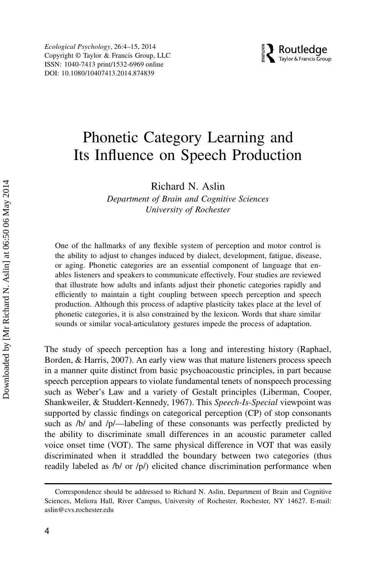Ecological Psychology, 26:4–15, 2014 Copyright © Taylor & Francis Group, LLC ISSN: 1040-7413 print/1532-6969 online DOI: 10.1080/10407413.2014.874839



# Phonetic Category Learning and Its Influence on Speech Production

Richard N. Aslin

Department of Brain and Cognitive Sciences University of Rochester

One of the hallmarks of any flexible system of perception and motor control is the ability to adjust to changes induced by dialect, development, fatigue, disease, or aging. Phonetic categories are an essential component of language that enables listeners and speakers to communicate effectively. Four studies are reviewed that illustrate how adults and infants adjust their phonetic categories rapidly and efficiently to maintain a tight coupling between speech perception and speech production. Although this process of adaptive plasticity takes place at the level of phonetic categories, it is also constrained by the lexicon. Words that share similar sounds or similar vocal-articulatory gestures impede the process of adaptation.

The study of speech perception has a long and interesting history (Raphael, Borden, & Harris, 2007). An early view was that mature listeners process speech in a manner quite distinct from basic psychoacoustic principles, in part because speech perception appears to violate fundamental tenets of nonspeech processing such as Weber's Law and a variety of Gestalt principles (Liberman, Cooper, Shankweiler, & Studdert-Kennedy, 1967). This Speech-Is-Special viewpoint was supported by classic findings on categorical perception (CP) of stop consonants such as /b/ and /p/—labeling of these consonants was perfectly predicted by the ability to discriminate small differences in an acoustic parameter called voice onset time (VOT). The same physical difference in VOT that was easily discriminated when it straddled the boundary between two categories (thus readily labeled as  $/b/$  or  $/p/$ ) elicited chance discrimination performance when

Correspondence should be addressed to Richard N. Aslin, Department of Brain and Cognitive Sciences, Meliora Hall, River Campus, University of Rochester, Rochester, NY 14627. E-mail: aslin@cvs.rochester.edu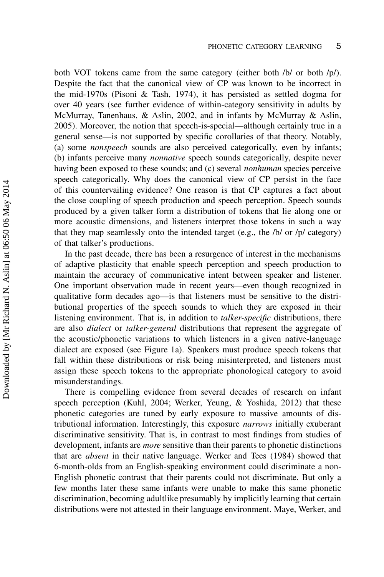both VOT tokens came from the same category (either both /b/ or both /p/). Despite the fact that the canonical view of CP was known to be incorrect in the mid-1970s (Pisoni & Tash, 1974), it has persisted as settled dogma for over 40 years (see further evidence of within-category sensitivity in adults by McMurray, Tanenhaus, & Aslin, 2002, and in infants by McMurray & Aslin, 2005). Moreover, the notion that speech-is-special—although certainly true in a general sense—is not supported by specific corollaries of that theory. Notably, (a) some nonspeech sounds are also perceived categorically, even by infants; (b) infants perceive many nonnative speech sounds categorically, despite never having been exposed to these sounds; and (c) several *nonhuman* species perceive speech categorically. Why does the canonical view of CP persist in the face of this countervailing evidence? One reason is that CP captures a fact about the close coupling of speech production and speech perception. Speech sounds produced by a given talker form a distribution of tokens that lie along one or more acoustic dimensions, and listeners interpret those tokens in such a way that they map seamlessly onto the intended target (e.g., the  $/b/$  or  $/p/$  category) of that talker's productions.

In the past decade, there has been a resurgence of interest in the mechanisms of adaptive plasticity that enable speech perception and speech production to maintain the accuracy of communicative intent between speaker and listener. One important observation made in recent years—even though recognized in qualitative form decades ago—is that listeners must be sensitive to the distributional properties of the speech sounds to which they are exposed in their listening environment. That is, in addition to *talker-specific* distributions, there are also *dialect* or *talker-general* distributions that represent the aggregate of the acoustic/phonetic variations to which listeners in a given native-language dialect are exposed (see Figure 1a). Speakers must produce speech tokens that fall within these distributions or risk being misinterpreted, and listeners must assign these speech tokens to the appropriate phonological category to avoid misunderstandings.

There is compelling evidence from several decades of research on infant speech perception (Kuhl, 2004; Werker, Yeung, & Yoshida, 2012) that these phonetic categories are tuned by early exposure to massive amounts of distributional information. Interestingly, this exposure narrows initially exuberant discriminative sensitivity. That is, in contrast to most findings from studies of development, infants are *more* sensitive than their parents to phonetic distinctions that are absent in their native language. Werker and Tees (1984) showed that 6-month-olds from an English-speaking environment could discriminate a non-English phonetic contrast that their parents could not discriminate. But only a few months later these same infants were unable to make this same phonetic discrimination, becoming adultlike presumably by implicitly learning that certain distributions were not attested in their language environment. Maye, Werker, and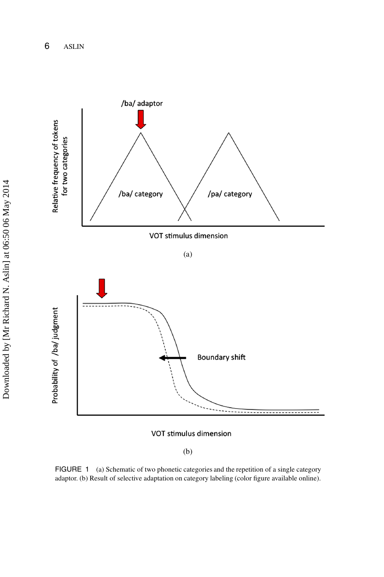

(b)

FIGURE 1 (a) Schematic of two phonetic categories and the repetition of a single category adaptor. (b) Result of selective adaptation on category labeling (color figure available online).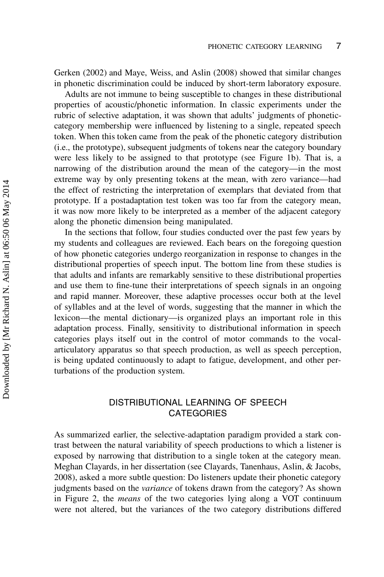Gerken (2002) and Maye, Weiss, and Aslin (2008) showed that similar changes in phonetic discrimination could be induced by short-term laboratory exposure.

Adults are not immune to being susceptible to changes in these distributional properties of acoustic/phonetic information. In classic experiments under the rubric of selective adaptation, it was shown that adults' judgments of phoneticcategory membership were influenced by listening to a single, repeated speech token. When this token came from the peak of the phonetic category distribution (i.e., the prototype), subsequent judgments of tokens near the category boundary were less likely to be assigned to that prototype (see Figure 1b). That is, a narrowing of the distribution around the mean of the category—in the most extreme way by only presenting tokens at the mean, with zero variance—had the effect of restricting the interpretation of exemplars that deviated from that prototype. If a postadaptation test token was too far from the category mean, it was now more likely to be interpreted as a member of the adjacent category along the phonetic dimension being manipulated.

In the sections that follow, four studies conducted over the past few years by my students and colleagues are reviewed. Each bears on the foregoing question of how phonetic categories undergo reorganization in response to changes in the distributional properties of speech input. The bottom line from these studies is that adults and infants are remarkably sensitive to these distributional properties and use them to fine-tune their interpretations of speech signals in an ongoing and rapid manner. Moreover, these adaptive processes occur both at the level of syllables and at the level of words, suggesting that the manner in which the lexicon—the mental dictionary—is organized plays an important role in this adaptation process. Finally, sensitivity to distributional information in speech categories plays itself out in the control of motor commands to the vocalarticulatory apparatus so that speech production, as well as speech perception, is being updated continuously to adapt to fatigue, development, and other perturbations of the production system.

## DISTRIBUTIONAL LEARNING OF SPEECH **CATEGORIES**

As summarized earlier, the selective-adaptation paradigm provided a stark contrast between the natural variability of speech productions to which a listener is exposed by narrowing that distribution to a single token at the category mean. Meghan Clayards, in her dissertation (see Clayards, Tanenhaus, Aslin, & Jacobs, 2008), asked a more subtle question: Do listeners update their phonetic category judgments based on the variance of tokens drawn from the category? As shown in Figure 2, the means of the two categories lying along a VOT continuum were not altered, but the variances of the two category distributions differed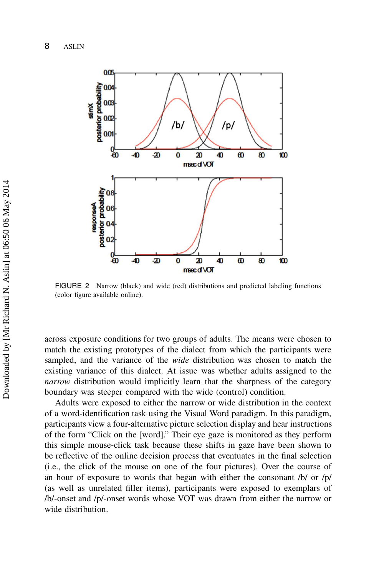

FIGURE 2 Narrow (black) and wide (red) distributions and predicted labeling functions (color figure available online).

across exposure conditions for two groups of adults. The means were chosen to match the existing prototypes of the dialect from which the participants were sampled, and the variance of the *wide* distribution was chosen to match the existing variance of this dialect. At issue was whether adults assigned to the narrow distribution would implicitly learn that the sharpness of the category boundary was steeper compared with the wide (control) condition.

Adults were exposed to either the narrow or wide distribution in the context of a word-identification task using the Visual Word paradigm. In this paradigm, participants view a four-alternative picture selection display and hear instructions of the form "Click on the [word]." Their eye gaze is monitored as they perform this simple mouse-click task because these shifts in gaze have been shown to be reflective of the online decision process that eventuates in the final selection (i.e., the click of the mouse on one of the four pictures). Over the course of an hour of exposure to words that began with either the consonant /b/ or /p/ (as well as unrelated filler items), participants were exposed to exemplars of /b/-onset and /p/-onset words whose VOT was drawn from either the narrow or wide distribution.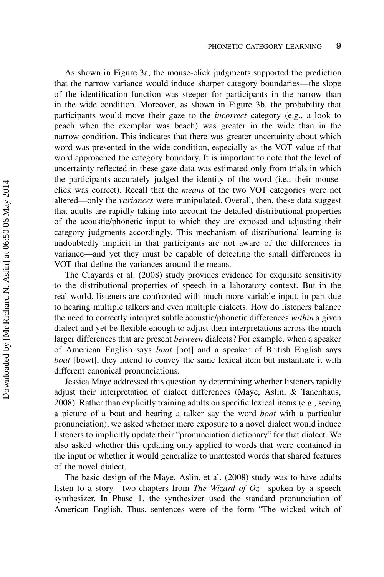As shown in Figure 3a, the mouse-click judgments supported the prediction that the narrow variance would induce sharper category boundaries—the slope of the identification function was steeper for participants in the narrow than in the wide condition. Moreover, as shown in Figure 3b, the probability that participants would move their gaze to the incorrect category (e.g., a look to peach when the exemplar was beach) was greater in the wide than in the narrow condition. This indicates that there was greater uncertainty about which word was presented in the wide condition, especially as the VOT value of that word approached the category boundary. It is important to note that the level of uncertainty reflected in these gaze data was estimated only from trials in which the participants accurately judged the identity of the word (i.e., their mouseclick was correct). Recall that the means of the two VOT categories were not altered—only the variances were manipulated. Overall, then, these data suggest that adults are rapidly taking into account the detailed distributional properties of the acoustic/phonetic input to which they are exposed and adjusting their category judgments accordingly. This mechanism of distributional learning is undoubtedly implicit in that participants are not aware of the differences in variance—and yet they must be capable of detecting the small differences in VOT that define the variances around the means.

The Clayards et al. (2008) study provides evidence for exquisite sensitivity to the distributional properties of speech in a laboratory context. But in the real world, listeners are confronted with much more variable input, in part due to hearing multiple talkers and even multiple dialects. How do listeners balance the need to correctly interpret subtle acoustic/phonetic differences within a given dialect and yet be flexible enough to adjust their interpretations across the much larger differences that are present between dialects? For example, when a speaker of American English says boat [bot] and a speaker of British English says boat [bowt], they intend to convey the same lexical item but instantiate it with different canonical pronunciations.

Jessica Maye addressed this question by determining whether listeners rapidly adjust their interpretation of dialect differences (Maye, Aslin, & Tanenhaus, 2008). Rather than explicitly training adults on specific lexical items (e.g., seeing a picture of a boat and hearing a talker say the word boat with a particular pronunciation), we asked whether mere exposure to a novel dialect would induce listeners to implicitly update their "pronunciation dictionary" for that dialect. We also asked whether this updating only applied to words that were contained in the input or whether it would generalize to unattested words that shared features of the novel dialect.

The basic design of the Maye, Aslin, et al. (2008) study was to have adults listen to a story—two chapters from The Wizard of Oz—spoken by a speech synthesizer. In Phase 1, the synthesizer used the standard pronunciation of American English. Thus, sentences were of the form "The wicked witch of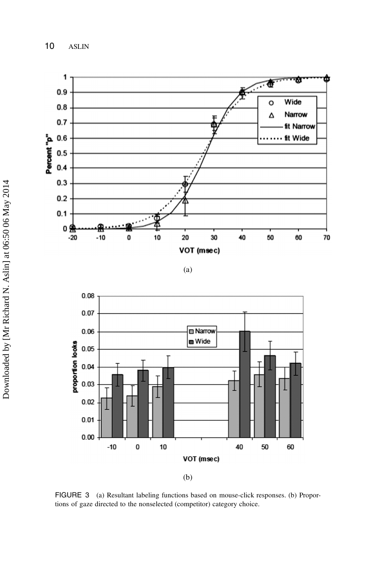

(a)



FIGURE 3 (a) Resultant labeling functions based on mouse-click responses. (b) Proportions of gaze directed to the nonselected (competitor) category choice.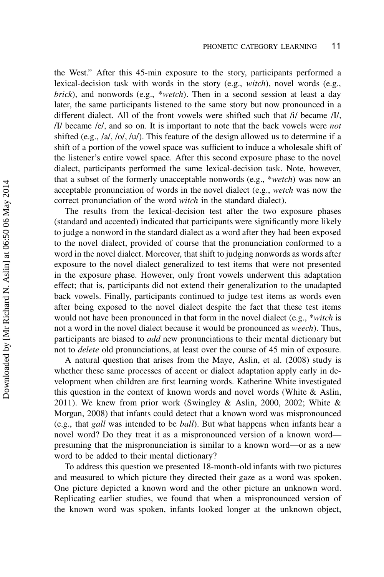the West." After this 45-min exposure to the story, participants performed a lexical-decision task with words in the story (e.g., witch), novel words (e.g., brick), and nonwords (e.g., \*wetch). Then in a second session at least a day later, the same participants listened to the same story but now pronounced in a different dialect. All of the front vowels were shifted such that /i/ became /I/,  $\frac{I}{I}$  became /e/, and so on. It is important to note that the back vowels were *not* shifted (e.g., /a/, /o/, /u/). This feature of the design allowed us to determine if a shift of a portion of the vowel space was sufficient to induce a wholesale shift of the listener's entire vowel space. After this second exposure phase to the novel dialect, participants performed the same lexical-decision task. Note, however, that a subset of the formerly unacceptable nonwords (e.g.,  $**wetch*$ ) was now an acceptable pronunciation of words in the novel dialect (e.g., wetch was now the correct pronunciation of the word witch in the standard dialect).

The results from the lexical-decision test after the two exposure phases (standard and accented) indicated that participants were significantly more likely to judge a nonword in the standard dialect as a word after they had been exposed to the novel dialect, provided of course that the pronunciation conformed to a word in the novel dialect. Moreover, that shift to judging nonwords as words after exposure to the novel dialect generalized to test items that were not presented in the exposure phase. However, only front vowels underwent this adaptation effect; that is, participants did not extend their generalization to the unadapted back vowels. Finally, participants continued to judge test items as words even after being exposed to the novel dialect despite the fact that these test items would not have been pronounced in that form in the novel dialect (e.g.,  $*$ *witch* is not a word in the novel dialect because it would be pronounced as *weech*). Thus, participants are biased to *add* new pronunciations to their mental dictionary but not to *delete* old pronunciations, at least over the course of 45 min of exposure.

A natural question that arises from the Maye, Aslin, et al. (2008) study is whether these same processes of accent or dialect adaptation apply early in development when children are first learning words. Katherine White investigated this question in the context of known words and novel words (White & Aslin, 2011). We knew from prior work (Swingley & Aslin, 2000, 2002; White & Morgan, 2008) that infants could detect that a known word was mispronounced (e.g., that gall was intended to be ball). But what happens when infants hear a novel word? Do they treat it as a mispronounced version of a known word presuming that the mispronunciation is similar to a known word—or as a new word to be added to their mental dictionary?

To address this question we presented 18-month-old infants with two pictures and measured to which picture they directed their gaze as a word was spoken. One picture depicted a known word and the other picture an unknown word. Replicating earlier studies, we found that when a mispronounced version of the known word was spoken, infants looked longer at the unknown object,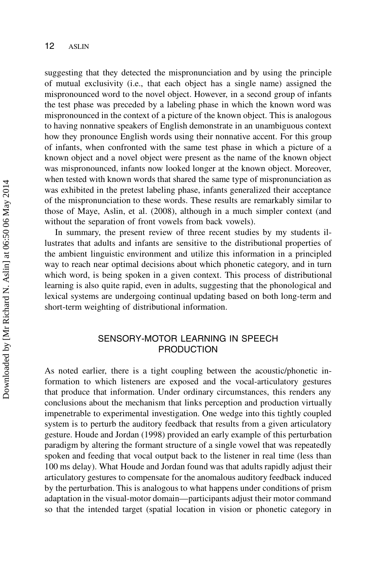suggesting that they detected the mispronunciation and by using the principle of mutual exclusivity (i.e., that each object has a single name) assigned the mispronounced word to the novel object. However, in a second group of infants the test phase was preceded by a labeling phase in which the known word was mispronounced in the context of a picture of the known object. This is analogous to having nonnative speakers of English demonstrate in an unambiguous context how they pronounce English words using their nonnative accent. For this group of infants, when confronted with the same test phase in which a picture of a known object and a novel object were present as the name of the known object was mispronounced, infants now looked longer at the known object. Moreover, when tested with known words that shared the same type of mispronunciation as was exhibited in the pretest labeling phase, infants generalized their acceptance of the mispronunciation to these words. These results are remarkably similar to those of Maye, Aslin, et al. (2008), although in a much simpler context (and without the separation of front vowels from back vowels).

In summary, the present review of three recent studies by my students illustrates that adults and infants are sensitive to the distributional properties of the ambient linguistic environment and utilize this information in a principled way to reach near optimal decisions about which phonetic category, and in turn which word, is being spoken in a given context. This process of distributional learning is also quite rapid, even in adults, suggesting that the phonological and lexical systems are undergoing continual updating based on both long-term and short-term weighting of distributional information.

## SENSORY-MOTOR LEARNING IN SPEECH PRODUCTION

As noted earlier, there is a tight coupling between the acoustic/phonetic information to which listeners are exposed and the vocal-articulatory gestures that produce that information. Under ordinary circumstances, this renders any conclusions about the mechanism that links perception and production virtually impenetrable to experimental investigation. One wedge into this tightly coupled system is to perturb the auditory feedback that results from a given articulatory gesture. Houde and Jordan (1998) provided an early example of this perturbation paradigm by altering the formant structure of a single vowel that was repeatedly spoken and feeding that vocal output back to the listener in real time (less than 100 ms delay). What Houde and Jordan found was that adults rapidly adjust their articulatory gestures to compensate for the anomalous auditory feedback induced by the perturbation. This is analogous to what happens under conditions of prism adaptation in the visual-motor domain—participants adjust their motor command so that the intended target (spatial location in vision or phonetic category in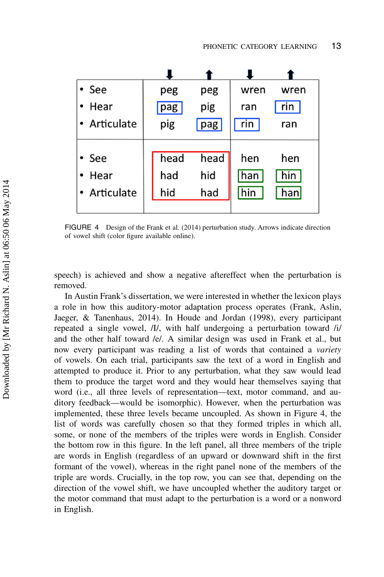

FIGURE 4 Design of the Frank et al. (2014) perturbation study. Arrows indicate direction of vowel shift (color figure available online).

speech) is achieved and show a negative aftereffect when the perturbation is removed.

In Austin Frank's dissertation, we were interested in whether the lexicon plays a role in how this auditory-motor adaptation process operates (Frank, Aslin, Jaeger, & Tanenhaus, 2014). In Houde and Jordan (1998), every participant repeated a single vowel, /I/, with half undergoing a perturbation toward /i/ and the other half toward /e/. A similar design was used in Frank et al., but now every participant was reading a list of words that contained a *variety* of vowels. On each trial, participants saw the text of a word in English and attempted to produce it. Prior to any perturbation, what they saw would lead them to produce the target word and they would hear themselves saying that word (i.e., all three levels of representation—text, motor command, and auditory feedback—would be isomorphic). However, when the perturbation was implemented, these three levels became uncoupled. As shown in Figure 4, the list of words was carefully chosen so that they formed triples in which all, some, or none of the members of the triples were words in English. Consider the bottom row in this figure. In the left panel, all three members of the triple are words in English (regardless of an upward or downward shift in the first formant of the vowel), whereas in the right panel none of the members of the triple are words. Crucially, in the top row, you can see that, depending on the direction of the vowel shift, we have uncoupled whether the auditory target or the motor command that must adapt to the perturbation is a word or a nonword in English.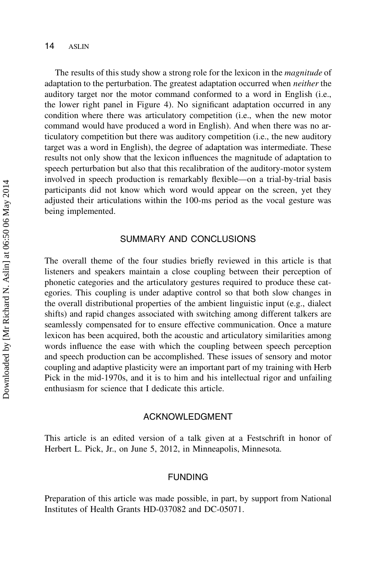The results of this study show a strong role for the lexicon in the *magnitude* of adaptation to the perturbation. The greatest adaptation occurred when *neither* the auditory target nor the motor command conformed to a word in English (i.e., the lower right panel in Figure 4). No significant adaptation occurred in any condition where there was articulatory competition (i.e., when the new motor command would have produced a word in English). And when there was no articulatory competition but there was auditory competition (i.e., the new auditory target was a word in English), the degree of adaptation was intermediate. These results not only show that the lexicon influences the magnitude of adaptation to speech perturbation but also that this recalibration of the auditory-motor system involved in speech production is remarkably flexible—on a trial-by-trial basis participants did not know which word would appear on the screen, yet they adjusted their articulations within the 100-ms period as the vocal gesture was being implemented.

### SUMMARY AND CONCLUSIONS

The overall theme of the four studies briefly reviewed in this article is that listeners and speakers maintain a close coupling between their perception of phonetic categories and the articulatory gestures required to produce these categories. This coupling is under adaptive control so that both slow changes in the overall distributional properties of the ambient linguistic input (e.g., dialect shifts) and rapid changes associated with switching among different talkers are seamlessly compensated for to ensure effective communication. Once a mature lexicon has been acquired, both the acoustic and articulatory similarities among words influence the ease with which the coupling between speech perception and speech production can be accomplished. These issues of sensory and motor coupling and adaptive plasticity were an important part of my training with Herb Pick in the mid-1970s, and it is to him and his intellectual rigor and unfailing enthusiasm for science that I dedicate this article.

#### ACKNOWLEDGMENT

This article is an edited version of a talk given at a Festschrift in honor of Herbert L. Pick, Jr., on June 5, 2012, in Minneapolis, Minnesota.

#### FUNDING

Preparation of this article was made possible, in part, by support from National Institutes of Health Grants HD-037082 and DC-05071.